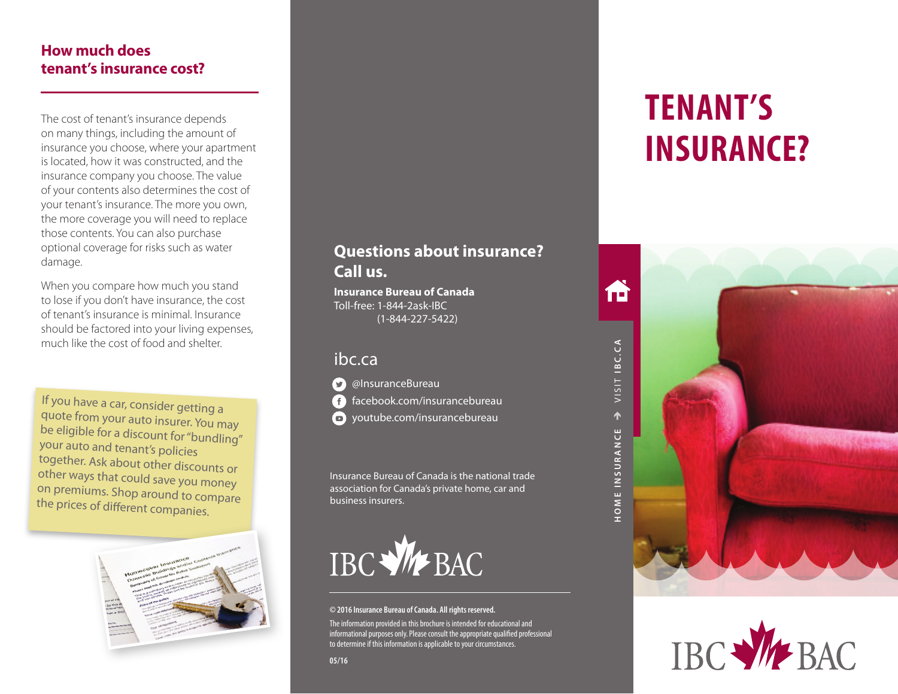### **How much does tenant's insurance cost?**

The cost of tenant's insurance depends on many things, including the amount of insurance you choose, where your apartment is located, how it was constructed, and the insurance company you choose. The value of your contents also determines the cost of your tenant's insurance. The more you own, the more coverage you will need to replace those contents. You can also purchase optional coverage for risks such as water damage.

When you compare how much you stand to lose if you don't have insurance, the cost of tenant's insurance is minimal. Insurance should be factored into your living expenses, much like the cost of food and shelter.

If you have a car, consider getting a quote from your auto insurer. You may be eligible for a discount for "bundling" your auto and tenant's policies together. Ask about other discounts or other ways that could save you money on premiums. Shop around to compare the prices of different companies.



# **Questions about insurance? Call us.**

**Insurance Bureau of Canada** Toll-free: 1-844-2ask-IBC (1-844-227-5422)

## ibc.ca



 $\Omega$  @InsuranceBureau facebook.com/insurancebureau youtube.com/insurancebureau

Insurance Bureau of Canada is the national trade association for Canada's private home, car and business insurers.



#### **© 2016 Insurance Bureau of Canada. All rights reserved.**

The information provided in this brochure is intended for educational and informational purposes only. Please consult the appropriate qualified professional to determine if this information is applicable to your circumstances.

# **TENANT'S INSURANCE?**